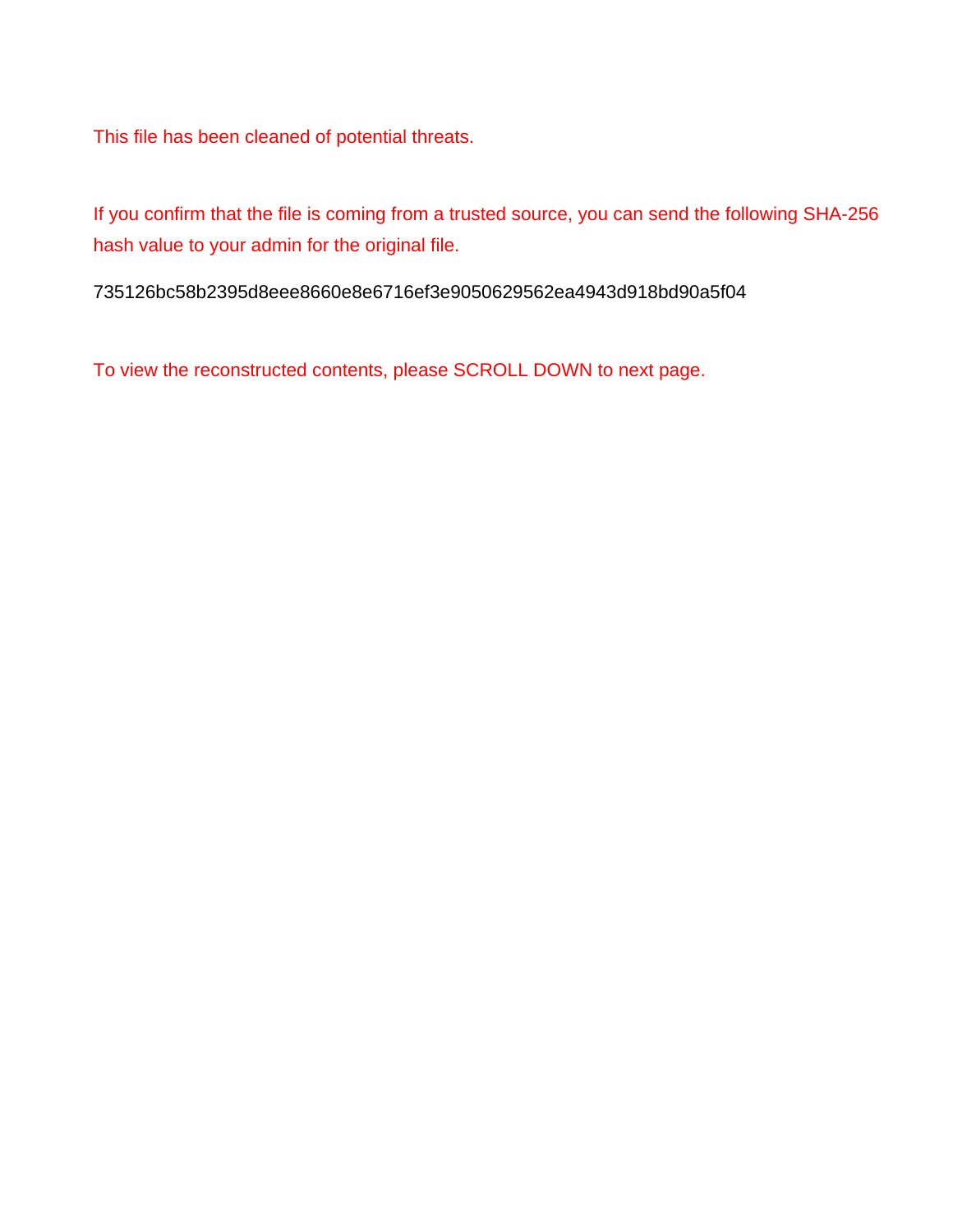This file has been cleaned of potential threats.

If you confirm that the file is coming from a trusted source, you can send the following SHA-256 hash value to your admin for the original file.

735126bc58b2395d8eee8660e8e6716ef3e9050629562ea4943d918bd90a5f04

To view the reconstructed contents, please SCROLL DOWN to next page.